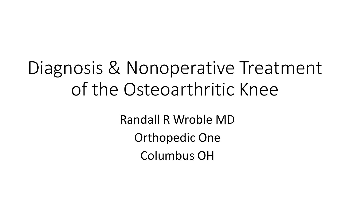#### Diagnosis & Nonoperative Treatment of the Osteoarthritic Knee

Randall R Wroble MD Orthopedic One Columbus OH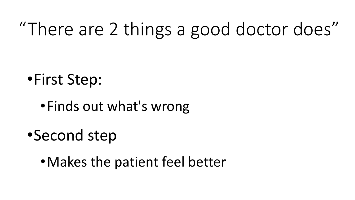# "There are 2 things a good doctor does"

•First Step:

- •Finds out what's wrong
- •Second step
	- •Makes the patient feel better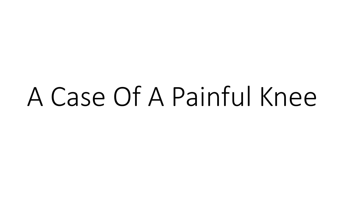# A Case Of A Painful Knee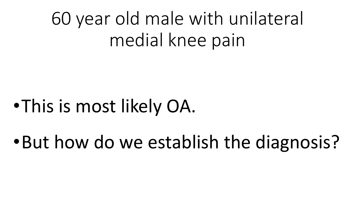# 60 year old male with unilateral medial knee pain

## •This is most likely OA.

•But how do we establish the diagnosis?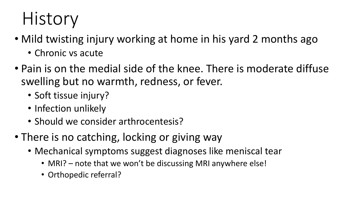# History

- Mild twisting injury working at home in his yard 2 months ago
	- Chronic vs acute
- Pain is on the medial side of the knee. There is moderate diffuse swelling but no warmth, redness, or fever.
	- Soft tissue injury?
	- Infection unlikely
	- Should we consider arthrocentesis?
- There is no catching, locking or giving way
	- Mechanical symptoms suggest diagnoses like meniscal tear
		- MRI? note that we won't be discussing MRI anywhere else!
		- Orthopedic referral?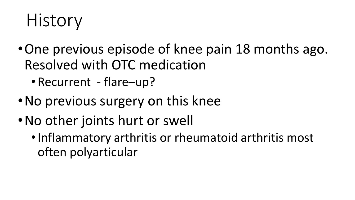#### History

- •One previous episode of knee pain 18 months ago. Resolved with OTC medication
	- Recurrent flare-up?
- •No previous surgery on this knee
- •No other joints hurt or swell
	- •Inflammatory arthritis or rheumatoid arthritis most often polyarticular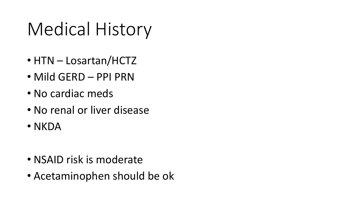# Medical History

- HTN Losartan/HCTZ
- Mild GERD PPI PRN
- No cardiac meds
- No renal or liver disease
- NKDA

- NSAID risk is moderate
- Acetaminophen should be ok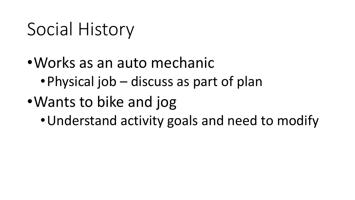### Social History

- •Works as an auto mechanic •Physical job – discuss as part of plan
- •Wants to bike and jog
	- •Understand activity goals and need to modify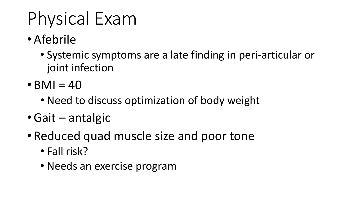# Physical Exam

- Afebrile
	- Systemic symptoms are a late finding in peri-articular or joint infection
- $\cdot$  BMI = 40
	- Need to discuss optimization of body weight
- •Gait antalgic
- Reduced quad muscle size and poor tone
	- Fall risk?
	- Needs an exercise program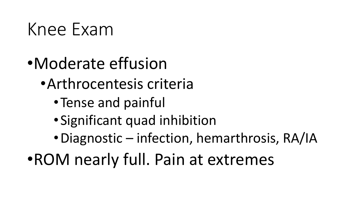#### Knee Exam

- •Moderate effusion
	- •Arthrocentesis criteria
		- •Tense and painful
		- •Significant quad inhibition
		- •Diagnostic infection, hemarthrosis, RA/IA
- •ROM nearly full. Pain at extremes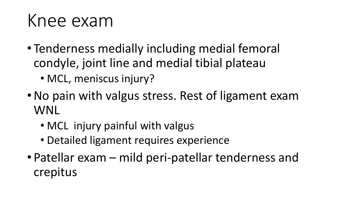#### Knee exam

- Tenderness medially including medial femoral condyle, joint line and medial tibial plateau
	- MCL, meniscus injury?
- •No pain with valgus stress. Rest of ligament exam WNL
	- MCL injury painful with valgus
	- Detailed ligament requires experience
- Patellar exam mild peri-patellar tenderness and crepitus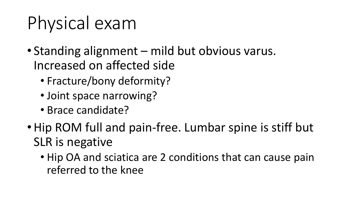# Physical exam

- Standing alignment mild but obvious varus. Increased on affected side
	- Fracture/bony deformity?
	- Joint space narrowing?
	- Brace candidate?
- Hip ROM full and pain-free. Lumbar spine is stiff but SLR is negative
	- Hip OA and sciatica are 2 conditions that can cause pain referred to the knee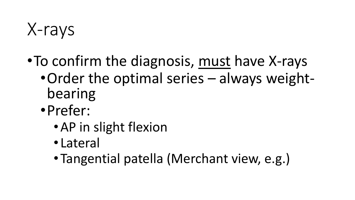X-rays

- •To confirm the diagnosis, must have X-rays
	- •Order the optimal series always weightbearing
	- •Prefer:
		- •AP in slight flexion
		- Lateral
		- •Tangential patella (Merchant view, e.g.)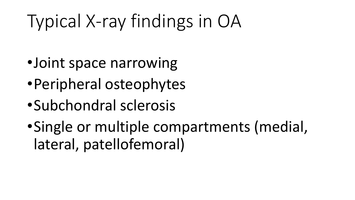# Typical X-ray findings in OA

- •Joint space narrowing
- •Peripheral osteophytes
- •Subchondral sclerosis
- •Single or multiple compartments (medial, lateral, patellofemoral)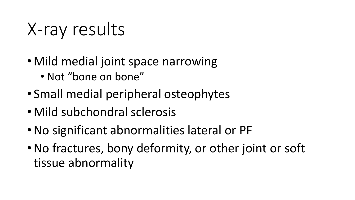X-ray results

- Mild medial joint space narrowing • Not "bone on bone"
- Small medial peripheral osteophytes
- Mild subchondral sclerosis
- •No significant abnormalities lateral or PF
- •No fractures, bony deformity, or other joint or soft tissue abnormality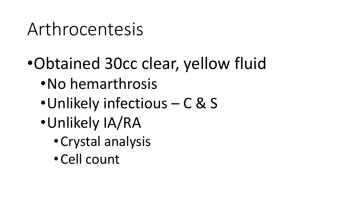#### Arthrocentesis

- •Obtained 30cc clear, yellow fluid
	- •No hemarthrosis
	- •Unlikely infectious C & S
	- •Unlikely IA/RA
		- •Crystal analysis
		- •Cell count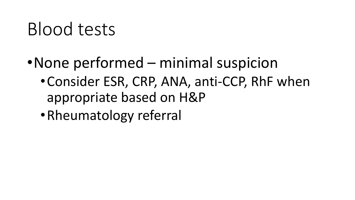### Blood tests

- •None performed minimal suspicion
	- •Consider ESR, CRP, ANA, anti-CCP, RhF when appropriate based on H&P
	- •Rheumatology referral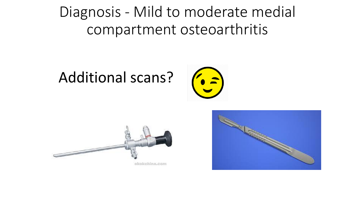Diagnosis - Mild to moderate medial compartment osteoarthritis

#### Additional scans?





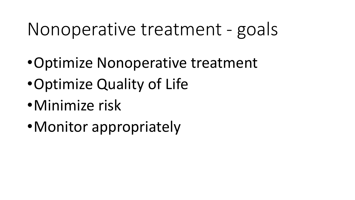#### Nonoperative treatment - goals

- •Optimize Nonoperative treatment
- •Optimize Quality of Life
- •Minimize risk
- •Monitor appropriately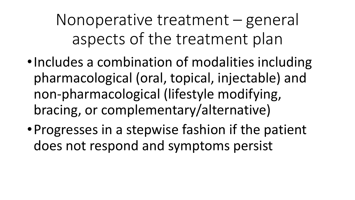Nonoperative treatment – general aspects of the treatment plan

- •Includes a combination of modalities including pharmacological (oral, topical, injectable) and non-pharmacological (lifestyle modifying, bracing, or complementary/alternative)
- •Progresses in a stepwise fashion if the patient does not respond and symptoms persist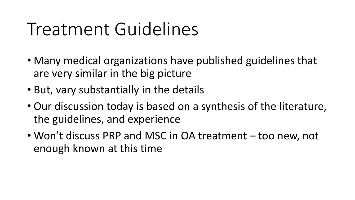#### Treatment Guidelines

- Many medical organizations have published guidelines that are very similar in the big picture
- But, vary substantially in the details
- Our discussion today is based on a synthesis of the literature, the guidelines, and experience
- Won't discuss PRP and MSC in OA treatment too new, not enough known at this time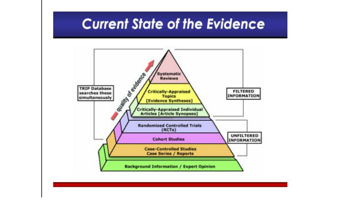#### **Current State of the Evidence**

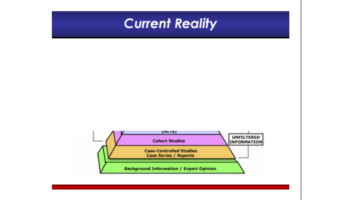

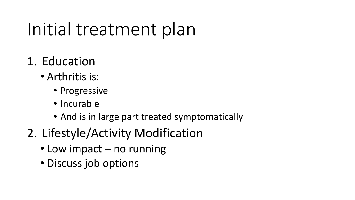# Initial treatment plan

- 1. Education
	- Arthritis is:
		- Progressive
		- Incurable
		- And is in large part treated symptomatically
- 2. Lifestyle/Activity Modification
	- Low impact no running
	- Discuss job options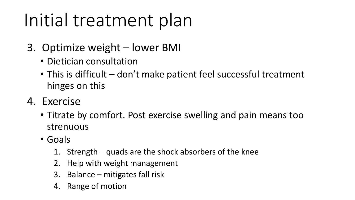## Initial treatment plan

- 3. Optimize weight lower BMI
	- Dietician consultation
	- This is difficult don't make patient feel successful treatment hinges on this
- 4. Exercise
	- Titrate by comfort. Post exercise swelling and pain means too strenuous
	- Goals
		- 1. Strength quads are the shock absorbers of the knee
		- 2. Help with weight management
		- 3. Balance mitigates fall risk
		- 4. Range of motion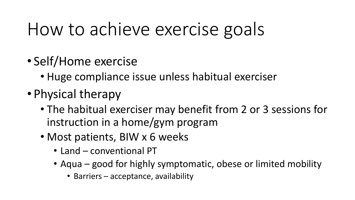### How to achieve exercise goals

- Self/Home exercise
	- Huge compliance issue unless habitual exerciser
- Physical therapy
	- The habitual exerciser may benefit from 2 or 3 sessions for instruction in a home/gym program
	- Most patients, BIW x 6 weeks
		- Land conventional PT
		- Aqua good for highly symptomatic, obese or limited mobility
			- Barriers acceptance, availability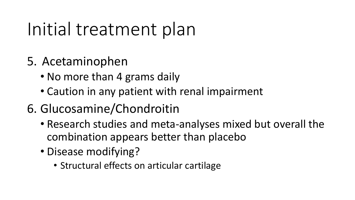# Initial treatment plan

- 5. Acetaminophen
	- No more than 4 grams daily
	- Caution in any patient with renal impairment
- 6. Glucosamine/Chondroitin
	- Research studies and meta-analyses mixed but overall the combination appears better than placebo
	- Disease modifying?
		- Structural effects on articular cartilage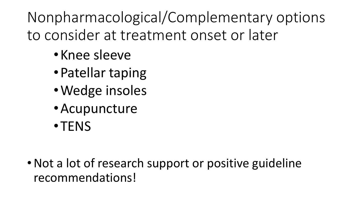Nonpharmacological/Complementary options to consider at treatment onset or later

- •Knee sleeve
- •Patellar taping
- •Wedge insoles
- •Acupuncture
- •TENS

• Not a lot of research support or positive guideline recommendations!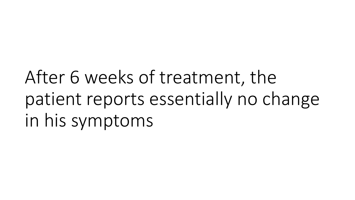After 6 weeks of treatment, the patient reports essentially no change in his symptoms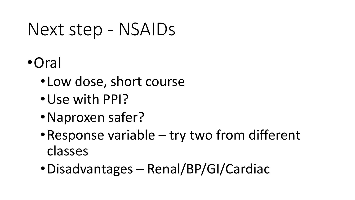#### Next step - NSAIDs

- •Oral
	- •Low dose, short course
	- •Use with PPI?
	- •Naproxen safer?
	- •Response variable try two from different classes
	- •Disadvantages Renal/BP/GI/Cardiac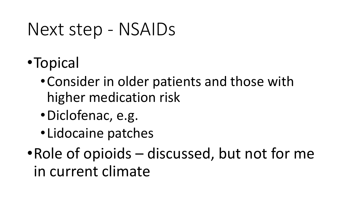#### Next step - NSAIDs

- •Topical
	- •Consider in older patients and those with higher medication risk
	- •Diclofenac, e.g.
	- •Lidocaine patches

•Role of opioids – discussed, but not for me in current climate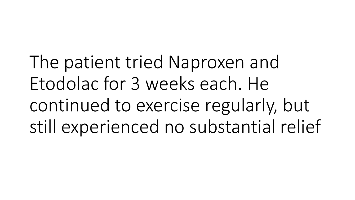The patient tried Naproxen and Etodolac for 3 weeks each. He continued to exercise regularly, but still experienced no substantial relief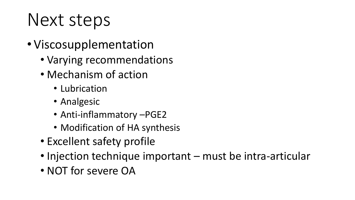## Next steps

- Viscosupplementation
	- Varying recommendations
	- Mechanism of action
		- Lubrication
		- Analgesic
		- Anti-inflammatory –PGE2
		- Modification of HA synthesis
	- Excellent safety profile
	- Injection technique important must be intra-articular
	- NOT for severe OA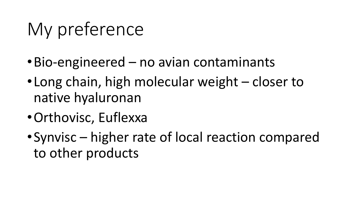# My preference

- •Bio-engineered no avian contaminants
- •Long chain, high molecular weight closer to native hyaluronan
- •Orthovisc, Euflexxa
- •Synvisc higher rate of local reaction compared to other products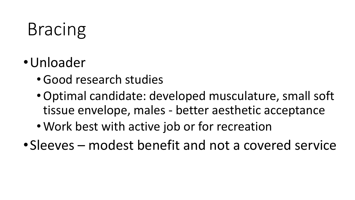# Bracing

- •Unloader
	- •Good research studies
	- •Optimal candidate: developed musculature, small soft tissue envelope, males - better aesthetic acceptance
	- Work best with active job or for recreation
- •Sleeves modest benefit and not a covered service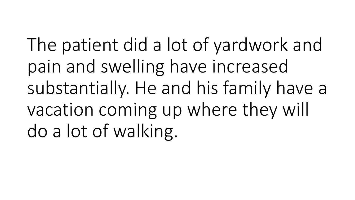The patient did a lot of yardwork and pain and swelling have increased substantially. He and his family have a vacation coming up where they will do a lot of walking.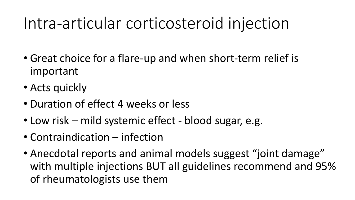#### Intra-articular corticosteroid injection

- Great choice for a flare-up and when short-term relief is important
- Acts quickly
- Duration of effect 4 weeks or less
- Low risk mild systemic effect blood sugar, e.g.
- Contraindication infection
- Anecdotal reports and animal models suggest "joint damage" with multiple injections BUT all guidelines recommend and 95% of rheumatologists use them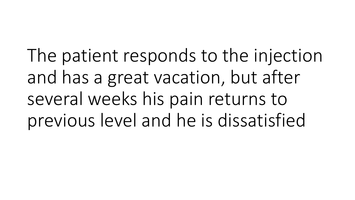The patient responds to the injection and has a great vacation, but after several weeks his pain returns to previous level and he is dissatisfied